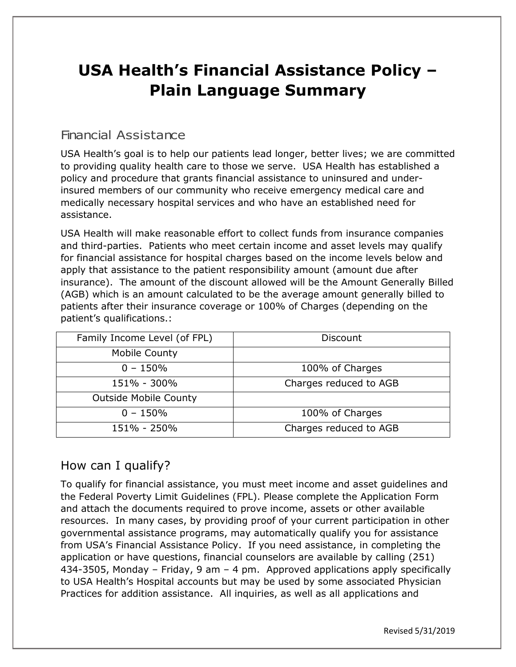# **USA Health's Financial Assistance Policy – Plain Language Summary**

# Financial Assistance

USA Health's goal is to help our patients lead longer, better lives; we are committed to providing quality health care to those we serve. USA Health has established a policy and procedure that grants financial assistance to uninsured and underinsured members of our community who receive emergency medical care and medically necessary hospital services and who have an established need for assistance.

USA Health will make reasonable effort to collect funds from insurance companies and third-parties. Patients who meet certain income and asset levels may qualify for financial assistance for hospital charges based on the income levels below and apply that assistance to the patient responsibility amount (amount due after insurance). The amount of the discount allowed will be the Amount Generally Billed (AGB) which is an amount calculated to be the average amount generally billed to patients after their insurance coverage or 100% of Charges (depending on the patient's qualifications.:

| Family Income Level (of FPL) | Discount               |
|------------------------------|------------------------|
| <b>Mobile County</b>         |                        |
| $0 - 150%$                   | 100% of Charges        |
| 151% - 300%                  | Charges reduced to AGB |
| <b>Outside Mobile County</b> |                        |
| $0 - 150%$                   | 100% of Charges        |
| 151% - 250%                  | Charges reduced to AGB |

## How can I qualify?

To qualify for financial assistance, you must meet income and asset guidelines and the Federal Poverty Limit Guidelines (FPL). Please complete the Application Form and attach the documents required to prove income, assets or other available resources. In many cases, by providing proof of your current participation in other governmental assistance programs, may automatically qualify you for assistance from USA's Financial Assistance Policy. If you need assistance, in completing the application or have questions, financial counselors are available by calling (251) 434-3505, Monday – Friday, 9 am – 4 pm. Approved applications apply specifically to USA Health's Hospital accounts but may be used by some associated Physician Practices for addition assistance. All inquiries, as well as all applications and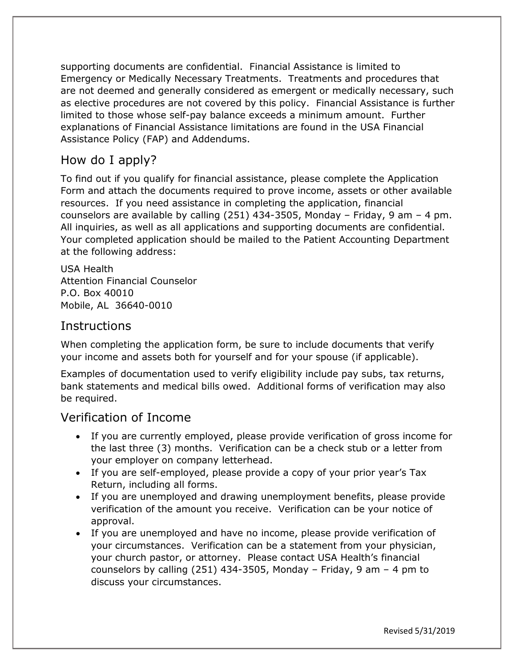supporting documents are confidential. Financial Assistance is limited to Emergency or Medically Necessary Treatments. Treatments and procedures that are not deemed and generally considered as emergent or medically necessary, such as elective procedures are not covered by this policy. Financial Assistance is further limited to those whose self-pay balance exceeds a minimum amount. Further explanations of Financial Assistance limitations are found in the USA Financial Assistance Policy (FAP) and Addendums.

## How do I apply?

To find out if you qualify for financial assistance, please complete the Application Form and attach the documents required to prove income, assets or other available resources. If you need assistance in completing the application, financial counselors are available by calling (251) 434-3505, Monday – Friday, 9 am – 4 pm. All inquiries, as well as all applications and supporting documents are confidential. Your completed application should be mailed to the Patient Accounting Department at the following address:

USA Health Attention Financial Counselor P.O. Box 40010 Mobile, AL 36640-0010

#### **Instructions**

When completing the application form, be sure to include documents that verify your income and assets both for yourself and for your spouse (if applicable).

Examples of documentation used to verify eligibility include pay subs, tax returns, bank statements and medical bills owed. Additional forms of verification may also be required.

#### Verification of Income

- If you are currently employed, please provide verification of gross income for the last three (3) months. Verification can be a check stub or a letter from your employer on company letterhead.
- If you are self-employed, please provide a copy of your prior year's Tax Return, including all forms.
- If you are unemployed and drawing unemployment benefits, please provide verification of the amount you receive. Verification can be your notice of approval.
- If you are unemployed and have no income, please provide verification of your circumstances. Verification can be a statement from your physician, your church pastor, or attorney. Please contact USA Health's financial counselors by calling (251) 434-3505, Monday – Friday, 9 am – 4 pm to discuss your circumstances.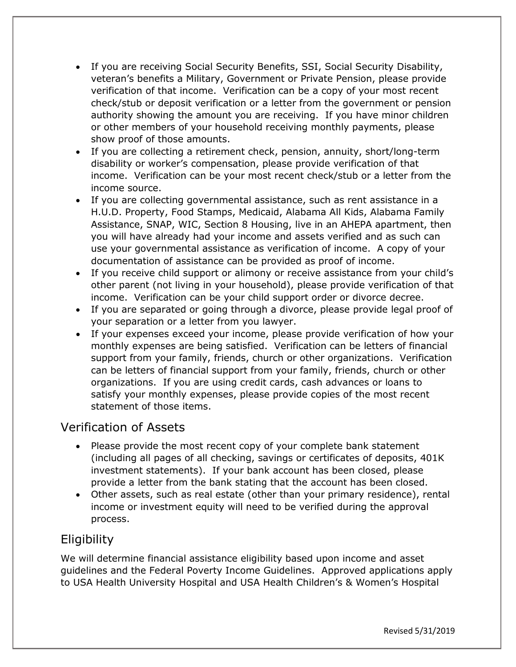- If you are receiving Social Security Benefits, SSI, Social Security Disability, veteran's benefits a Military, Government or Private Pension, please provide verification of that income. Verification can be a copy of your most recent check/stub or deposit verification or a letter from the government or pension authority showing the amount you are receiving. If you have minor children or other members of your household receiving monthly payments, please show proof of those amounts.
- If you are collecting a retirement check, pension, annuity, short/long-term disability or worker's compensation, please provide verification of that income. Verification can be your most recent check/stub or a letter from the income source.
- If you are collecting governmental assistance, such as rent assistance in a H.U.D. Property, Food Stamps, Medicaid, Alabama All Kids, Alabama Family Assistance, SNAP, WIC, Section 8 Housing, live in an AHEPA apartment, then you will have already had your income and assets verified and as such can use your governmental assistance as verification of income. A copy of your documentation of assistance can be provided as proof of income.
- If you receive child support or alimony or receive assistance from your child's other parent (not living in your household), please provide verification of that income. Verification can be your child support order or divorce decree.
- If you are separated or going through a divorce, please provide legal proof of your separation or a letter from you lawyer.
- If your expenses exceed your income, please provide verification of how your monthly expenses are being satisfied. Verification can be letters of financial support from your family, friends, church or other organizations. Verification can be letters of financial support from your family, friends, church or other organizations. If you are using credit cards, cash advances or loans to satisfy your monthly expenses, please provide copies of the most recent statement of those items.

#### Verification of Assets

- Please provide the most recent copy of your complete bank statement (including all pages of all checking, savings or certificates of deposits, 401K investment statements). If your bank account has been closed, please provide a letter from the bank stating that the account has been closed.
- Other assets, such as real estate (other than your primary residence), rental income or investment equity will need to be verified during the approval process.

# **Eligibility**

We will determine financial assistance eligibility based upon income and asset guidelines and the Federal Poverty Income Guidelines. Approved applications apply to USA Health University Hospital and USA Health Children's & Women's Hospital